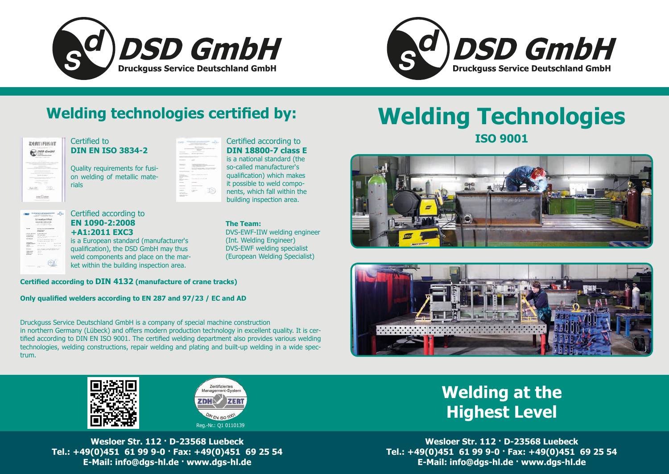# **Welding Technologies ISO 9001**











# **Welding technologies certified by:**

|                   | ertifika<br>DSD Gmb<br>o. |
|-------------------|---------------------------|
|                   | ä                         |
| ٠                 | ÷                         |
| <b>STATISTICS</b> | ۱                         |
|                   |                           |
|                   |                           |

# **Welding at the Highest Level**

Certified to **DIN EN ISO 3834-2**

Quality requirements for fusion welding of metallic materials

| e establista de la contradición de la contradición de la contradición de la contradición de la contradición de<br>Contradición de la contradición de la contradición de la contradición de la contradición de la contradición de<br>X | $\frac{1}{2} \left( \frac{1}{2} \right) \left( \frac{1}{2} \right) \left( \frac{1}{2} \right) \left( \frac{1}{2} \right) \left( \frac{1}{2} \right) \left( \frac{1}{2} \right) \left( \frac{1}{2} \right) \left( \frac{1}{2} \right) \left( \frac{1}{2} \right) \left( \frac{1}{2} \right) \left( \frac{1}{2} \right) \left( \frac{1}{2} \right) \left( \frac{1}{2} \right) \left( \frac{1}{2} \right) \left( \frac{1}{2} \right) \left( \frac{1}{2} \right) \left( \frac$ |
|---------------------------------------------------------------------------------------------------------------------------------------------------------------------------------------------------------------------------------------|----------------------------------------------------------------------------------------------------------------------------------------------------------------------------------------------------------------------------------------------------------------------------------------------------------------------------------------------------------------------------------------------------------------------------------------------------------------------------|
|                                                                                                                                                                                                                                       | <b>STAR</b>                                                                                                                                                                                                                                                                                                                                                                                                                                                                |
| --                                                                                                                                                                                                                                    |                                                                                                                                                                                                                                                                                                                                                                                                                                                                            |
| _                                                                                                                                                                                                                                     | v.<br>٠                                                                                                                                                                                                                                                                                                                                                                                                                                                                    |
| -95                                                                                                                                                                                                                                   | ________                                                                                                                                                                                                                                                                                                                                                                                                                                                                   |
|                                                                                                                                                                                                                                       | - 1<br>___                                                                                                                                                                                                                                                                                                                                                                                                                                                                 |
| š<br>$\sim$                                                                                                                                                                                                                           | Google Glass County County<br>the control of the control of the                                                                                                                                                                                                                                                                                                                                                                                                            |
|                                                                                                                                                                                                                                       |                                                                                                                                                                                                                                                                                                                                                                                                                                                                            |
| --<br><b>STATISTICS</b>                                                                                                                                                                                                               | ---<br>Be                                                                                                                                                                                                                                                                                                                                                                                                                                                                  |
| ---<br>--<br>τ<br>÷                                                                                                                                                                                                                   | 70-<br>٠                                                                                                                                                                                                                                                                                                                                                                                                                                                                   |
| $\overline{\phantom{a}}$<br>۰<br>×<br>$\sim$                                                                                                                                                                                          |                                                                                                                                                                                                                                                                                                                                                                                                                                                                            |
| ٠<br>--<br>×                                                                                                                                                                                                                          | $\overline{\phantom{a}}$                                                                                                                                                                                                                                                                                                                                                                                                                                                   |
| --<br>÷.<br>t.                                                                                                                                                                                                                        | -77                                                                                                                                                                                                                                                                                                                                                                                                                                                                        |
| ٠                                                                                                                                                                                                                                     | ÷                                                                                                                                                                                                                                                                                                                                                                                                                                                                          |

**The Team:**

|                                         | Schweißzertifikat                                                                                   |                    |
|-----------------------------------------|-----------------------------------------------------------------------------------------------------|--------------------|
|                                         | SEVEN FR 1090-2-80025-2014 691                                                                      |                    |
|                                         | Committee and Wildell Family<br>continued from the Continuum of the Continued                       |                    |
|                                         |                                                                                                     |                    |
| <b>Norvador</b>                         | <b>Brushpine Service Deutschland Gribel</b>                                                         |                    |
|                                         | <b>They're 20 you had</b><br><b>BE COAL LAWS</b>                                                    |                    |
| <b>Talifolding Sprinterman</b>          | <b>CA 1300-T-MAL-AT DET</b>                                                                         |                    |
| Anthropoteon                            | CELLAND INC.                                                                                        |                    |
| <b>Energetween</b>                      | 22 Years 10th a metal with this member 100<br>Management 184, 196 at                                |                    |
| West of Minimum                         | 1.12<br>which contribute with their face of your                                                    |                    |
|                                         | v.<br>WAS TRANSPORTED FOR A RESIDENCE CHARLES                                                       |                    |
| <b><i><u>Personnelling</u></i></b>      |                                                                                                     |                    |
| <b>Scheedwartermomson</b><br>2012/10/10 | COMPANY ARE NO                                                                                      | will an only creat |
| <b>SHOWAGE</b><br><b>STATISTICS</b>     | We're accept to Mill.                                                                               | at an inche        |
| <b>Buildings</b>                        | s die die Amerikaanse enkele programmingen.<br>Naar die Stadische school van die Stadische Stadisch |                    |
| Garagerasses                            | <b>DEDICATE</b>                                                                                     |                    |
| Outlinksvalvan                          | <b>COSTA</b>                                                                                        |                    |
|                                         | collection with                                                                                     |                    |
|                                         |                                                                                                     |                    |

DVS-EWF-IIW welding engineer

(Int. Welding Engineer) DVS-EWF welding specialist (European Welding Specialist)

#### **Certified according to DIN 4132 (manufacture of crane tracks)**

#### **Only qualified welders according to EN 287 and 97/23 / EC and AD**

Druckguss Service Deutschland GmbH is a company of special machine construction in northern Germany (Lübeck) and offers modern production technology in excellent quality. It is certified according to DIN EN ISO 9001. The certified welding department also provides various welding technologies, welding constructions, repair welding and plating and built-up welding in a wide spectrum.

#### Certified according to **DIN 18800-7 class E**

is a national standard (the so-called manufacturer's qualification) which makes it possible to weld components, which fall within the building inspection area.

#### Certified according to **EN 1090-2:2008 +A1:2011 EXC3**

is a European standard (manufacturer's qualification), the DSD GmbH may thus weld components and place on the market within the building inspection area.

> **Wesloer Str. 112 · D-23568 Luebeck Tel.: +49(0)451 61 99 9-0 · Fax: +49(0)451 69 25 54 E-Mail: info@dgs-hl.de · www.dgs-hl.de**

**Wesloer Str. 112 · D-23568 Luebeck Tel.: +49(0)451 61 99 9-0 · Fax: +49(0)451 69 25 54 E-Mail: info@dgs-hl.de · www.dgs-hl.de**